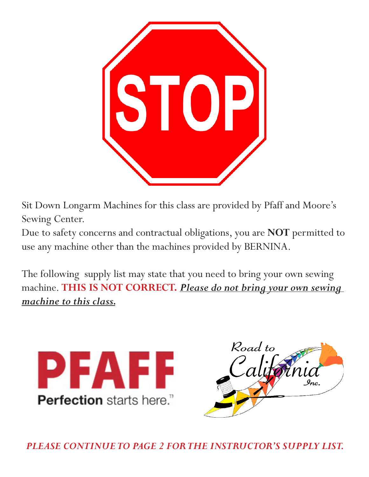

Sit Down Longarm Machines for this class are provided by Pfaff and Moore's Sewing Center.

Due to safety concerns and contractual obligations, you are **NOT** permitted to use any machine other than the machines provided by BERNINA.

The following supply list may state that you need to bring your own sewing machine. **THIS IS NOT CORRECT.** *Please do not bring your own sewing machine to this class.*





*PLEASE CONTINUE TO PAGE 2 FOR THE INSTRUCTOR'S SUPPLY LIST.*